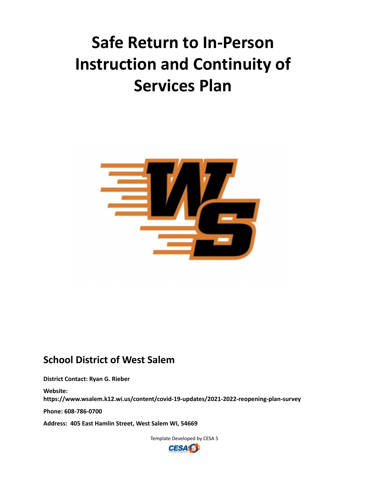# **Safe Return to In-Person Instruction and Continuity of Services Plan**



## **School District of West Salem**

**District Contact: Ryan G. Rieber**

**Website: https://www.wsalem.k12.wi.us/content/covid-19-updates/2021-2022-reopening-plan-survey**

**Phone: 608-786-0700**

**Address: 405 East Hamlin Street, West Salem WI, 54669**

Template Developed by CESA 5

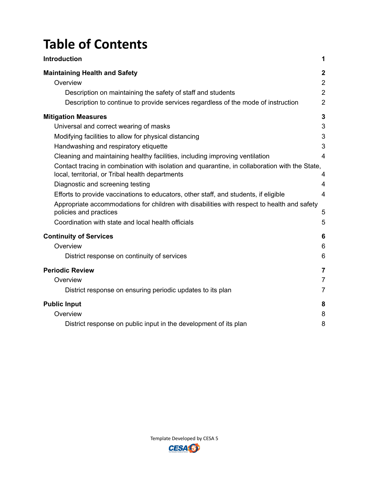## **Table of Contents**

| <b>Introduction</b>                                                                                                                                                                                  | 1                                                                      |
|------------------------------------------------------------------------------------------------------------------------------------------------------------------------------------------------------|------------------------------------------------------------------------|
| <b>Maintaining Health and Safety</b><br>Overview<br>Description on maintaining the safety of staff and students<br>Description to continue to provide services regardless of the mode of instruction | $\boldsymbol{2}$<br>$\overline{2}$<br>$\overline{2}$<br>$\overline{2}$ |
| <b>Mitigation Measures</b>                                                                                                                                                                           | 3                                                                      |
| Universal and correct wearing of masks                                                                                                                                                               | 3                                                                      |
| Modifying facilities to allow for physical distancing                                                                                                                                                | 3                                                                      |
| Handwashing and respiratory etiquette                                                                                                                                                                | 3                                                                      |
| Cleaning and maintaining healthy facilities, including improving ventilation                                                                                                                         | $\overline{4}$                                                         |
| Contact tracing in combination with isolation and quarantine, in collaboration with the State,<br>local, territorial, or Tribal health departments                                                   | 4                                                                      |
| Diagnostic and screening testing                                                                                                                                                                     | $\overline{4}$                                                         |
| Efforts to provide vaccinations to educators, other staff, and students, if eligible                                                                                                                 | $\overline{4}$                                                         |
| Appropriate accommodations for children with disabilities with respect to health and safety<br>policies and practices<br>Coordination with state and local health officials                          | 5<br>5                                                                 |
| <b>Continuity of Services</b>                                                                                                                                                                        | 6                                                                      |
| Overview                                                                                                                                                                                             | 6                                                                      |
| District response on continuity of services                                                                                                                                                          | 6                                                                      |
| <b>Periodic Review</b>                                                                                                                                                                               | 7                                                                      |
| Overview                                                                                                                                                                                             | $\overline{7}$                                                         |
| District response on ensuring periodic updates to its plan                                                                                                                                           | $\overline{7}$                                                         |
| <b>Public Input</b>                                                                                                                                                                                  | 8                                                                      |
| Overview                                                                                                                                                                                             | 8                                                                      |
| District response on public input in the development of its plan                                                                                                                                     | 8                                                                      |

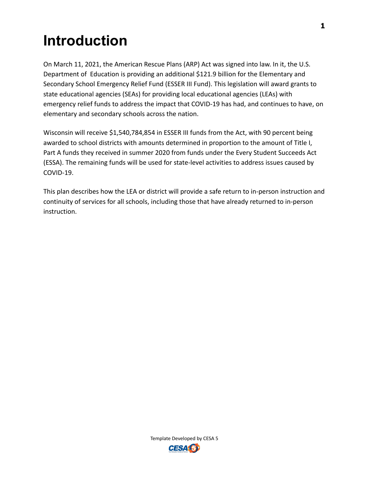# <span id="page-2-0"></span>**Introduction**

On March 11, 2021, the American Rescue Plans (ARP) Act was signed into law. In it, the U.S. Department of Education is providing an additional \$121.9 billion for the Elementary and Secondary School Emergency Relief Fund (ESSER III Fund). This legislation will award grants to state educational agencies (SEAs) for providing local educational agencies (LEAs) with emergency relief funds to address the impact that COVID-19 has had, and continues to have, on elementary and secondary schools across the nation.

Wisconsin will receive \$1,540,784,854 in ESSER III funds from the Act, with 90 percent being awarded to school districts with amounts determined in proportion to the amount of Title I, Part A funds they received in summer 2020 from funds under the Every Student Succeeds Act (ESSA). The remaining funds will be used for state-level activities to address issues caused by COVID-19.

This plan describes how the LEA or district will provide a safe return to in-person instruction and continuity of services for all schools, including those that have already returned to in-person instruction.

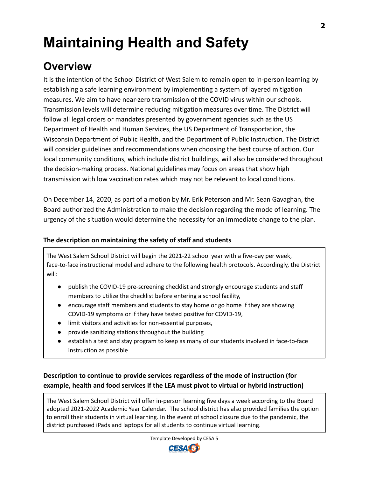# <span id="page-3-0"></span>**Maintaining Health and Safety**

## <span id="page-3-1"></span>**Overview**

It is the intention of the School District of West Salem to remain open to in-person learning by establishing a safe learning environment by implementing a system of layered mitigation measures. We aim to have near-zero transmission of the COVID virus within our schools. Transmission levels will determine reducing mitigation measures over time. The District will follow all legal orders or mandates presented by government agencies such as the US Department of Health and Human Services, the US Department of Transportation, the Wisconsin Department of Public Health, and the Department of Public Instruction. The District will consider guidelines and recommendations when choosing the best course of action. Our local community conditions, which include district buildings, will also be considered throughout the decision-making process. National guidelines may focus on areas that show high transmission with low vaccination rates which may not be relevant to local conditions.

On December 14, 2020, as part of a motion by Mr. Erik Peterson and Mr. Sean Gavaghan, the Board authorized the Administration to make the decision regarding the mode of learning. The urgency of the situation would determine the necessity for an immediate change to the plan.

## <span id="page-3-2"></span>**The description on maintaining the safety of staff and students**

The West Salem School District will begin the 2021-22 school year with a five-day per week, face-to-face instructional model and adhere to the following health protocols. Accordingly, the District will:

- publish the COVID-19 pre-screening checklist and strongly encourage students and staff members to utilize the checklist before entering a school facility,
- encourage staff members and students to stay home or go home if they are showing COVID-19 symptoms or if they have tested positive for COVID-19,
- limit visitors and activities for non-essential purposes,
- provide sanitizing stations throughout the building
- establish a test and stay program to keep as many of our students involved in face-to-face instruction as possible

## <span id="page-3-3"></span>**Description to continue to provide services regardless of the mode of instruction (for example, health and food services if the LEA must pivot to virtual or hybrid instruction)**

The West Salem School District will offer in-person learning five days a week according to the Board adopted 2021-2022 Academic Year Calendar. The school district has also provided families the option to enroll their students in virtual learning. In the event of school closure due to the pandemic, the district purchased iPads and laptops for all students to continue virtual learning.

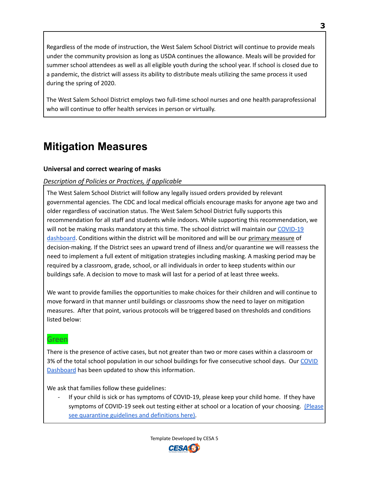Regardless of the mode of instruction, the West Salem School District will continue to provide meals under the community provision as long as USDA continues the allowance. Meals will be provided for summer school attendees as well as all eligible youth during the school year. If school is closed due to a pandemic, the district will assess its ability to distribute meals utilizing the same process it used during the spring of 2020.

The West Salem School District employs two full-time school nurses and one health paraprofessional who will continue to offer health services in person or virtually.

## <span id="page-4-0"></span>**Mitigation Measures**

## <span id="page-4-1"></span>**Universal and correct wearing of masks**

## *Description of Policies or Practices, if applicable*

The West Salem School District will follow any legally issued orders provided by relevant governmental agencies. The CDC and local medical officials encourage masks for anyone age two and older regardless of vaccination status. The West Salem School District fully supports this recommendation for all staff and students while indoors. While supporting this recommendation, we will not be making masks mandatory at this time. The school district will maintain our [COVID-19](https://www.wsalem.k12.wi.us/content/s/covid-19-dashboard) [dashboard](https://www.wsalem.k12.wi.us/content/s/covid-19-dashboard). Conditions within the district will be monitored and will be our primary measure of decision-making. If the District sees an upward trend of illness and/or quarantine we will reassess the need to implement a full extent of mitigation strategies including masking. A masking period may be required by a classroom, grade, school, or all individuals in order to keep students within our buildings safe. A decision to move to mask will last for a period of at least three weeks.

We want to provide families the opportunities to make choices for their children and will continue to move forward in that manner until buildings or classrooms show the need to layer on mitigation measures. After that point, various protocols will be triggered based on thresholds and conditions listed below:

## Green

There is the presence of active cases, but not greater than two or more cases within a classroom or 3% of the total school population in our school buildings for five consecutive school days. Our [COVID](https://www.wsalem.k12.wi.us/content/s/covid-19-dashboard) [Dashboard](https://www.wsalem.k12.wi.us/content/s/covid-19-dashboard) has been updated to show this information.

We ask that families follow these guidelines:

If your child is sick or has symptoms of COVID-19, please keep your child home. If they have symptoms of COVID-19 seek out testing either at school or a location of your choosing. [\(Please](https://www.wsalem.k12.wi.us/uploads/content_files/files/5CED7852_619A_4782_8479_50B6D22A6FCA.pdf) see [quarantine](https://www.wsalem.k12.wi.us/uploads/content_files/files/5CED7852_619A_4782_8479_50B6D22A6FCA.pdf) guidelines and definitions here).

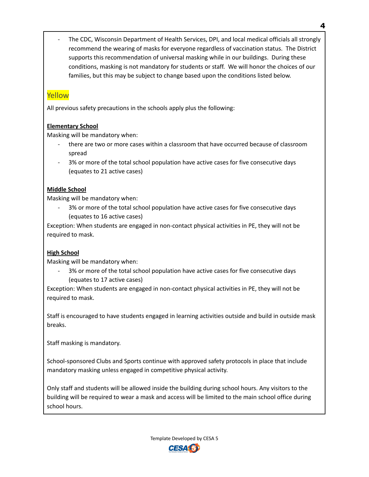The CDC, Wisconsin Department of Health Services, DPI, and local medical officials all strongly recommend the wearing of masks for everyone regardless of vaccination status. The District supports this recommendation of universal masking while in our buildings. During these conditions, masking is not mandatory for students or staff. We will honor the choices of our families, but this may be subject to change based upon the conditions listed below.

## Yellow

All previous safety precautions in the schools apply plus the following:

## **Elementary School**

Masking will be mandatory when:

- there are two or more cases within a classroom that have occurred because of classroom spread
- 3% or more of the total school population have active cases for five consecutive days (equates to 21 active cases)

## **Middle School**

Masking will be mandatory when:

3% or more of the total school population have active cases for five consecutive days (equates to 16 active cases)

Exception: When students are engaged in non-contact physical activities in PE, they will not be required to mask.

## **High School**

Masking will be mandatory when:

3% or more of the total school population have active cases for five consecutive days (equates to 17 active cases)

Exception: When students are engaged in non-contact physical activities in PE, they will not be required to mask.

Staff is encouraged to have students engaged in learning activities outside and build in outside mask breaks.

Staff masking is mandatory.

School-sponsored Clubs and Sports continue with approved safety protocols in place that include mandatory masking unless engaged in competitive physical activity.

Only staff and students will be allowed inside the building during school hours. Any visitors to the building will be required to wear a mask and access will be limited to the main school office during school hours.



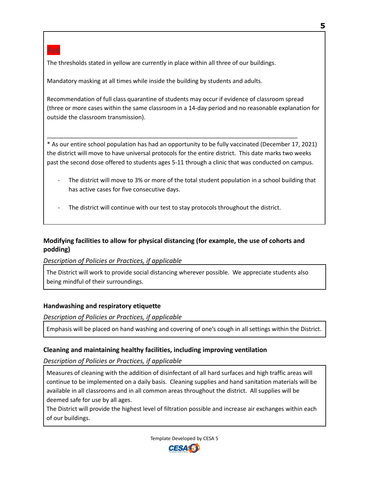The thresholds stated in yellow are currently in place within all three of our buildings.

Mandatory masking at all times while inside the building by students and adults.

Recommendation of full class quarantine of students may occur if evidence of classroom spread (three or more cases within the same classroom in a 14-day period and no reasonable explanation for outside the classroom transmission).

\* As our entire school population has had an opportunity to be fully vaccinated (December 17, 2021) the district will move to have universal protocols for the entire district. This date marks two weeks past the second dose offered to students ages 5-11 through a clinic that was conducted on campus.

\_\_\_\_\_\_\_\_\_\_\_\_\_\_\_\_\_\_\_\_\_\_\_\_\_\_\_\_\_\_\_\_\_\_\_\_\_\_\_\_\_\_\_\_\_\_\_\_\_\_\_\_\_\_\_\_\_\_\_\_\_\_\_\_\_\_\_\_\_\_\_\_\_\_\_\_

- The district will move to 3% or more of the total student population in a school building that has active cases for five consecutive days.
- The district will continue with our test to stay protocols throughout the district.

## <span id="page-6-0"></span>**Modifying facilities to allow for physical distancing (for example, the use of cohorts and podding)**

*Description of Policies or Practices, if applicable*

The District will work to provide social distancing wherever possible. We appreciate students also being mindful of their surroundings.

## <span id="page-6-1"></span>**Handwashing and respiratory etiquette**

*Description of Policies or Practices, if applicable*

Emphasis will be placed on hand washing and covering of one's cough in all settings within the District.

## <span id="page-6-2"></span>**Cleaning and maintaining healthy facilities, including improving ventilation**

*Description of Policies or Practices, if applicable*

Measures of cleaning with the addition of disinfectant of all hard surfaces and high traffic areas will continue to be implemented on a daily basis. Cleaning supplies and hand sanitation materials will be available in all classrooms and in all common areas throughout the district. All supplies will be deemed safe for use by all ages.

The District will provide the highest level of filtration possible and increase air exchanges within each of our buildings.



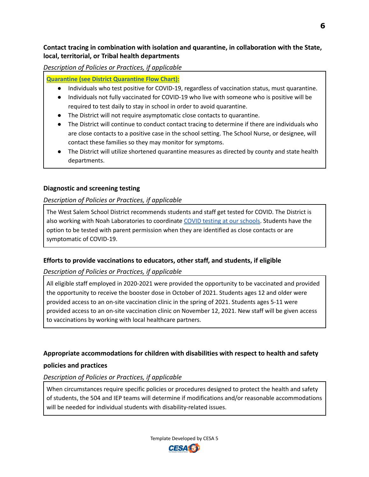## <span id="page-7-0"></span>**Contact tracing in combination with isolation and quarantine, in collaboration with the State, local, territorial, or Tribal health departments**

*Description of Policies or Practices, if applicable*

**[Quarantine](https://www.wsalem.k12.wi.us/uploads/content_files/files/5CED7852_619A_4782_8479_50B6D22A6FCA.pdf) (see District Quarantine Flow Chart):**

- Individuals who test positive for COVID-19, regardless of vaccination status, must quarantine.
- Individuals not fully vaccinated for COVID-19 who live with someone who is positive will be required to test daily to stay in school in order to avoid quarantine.
- The District will not require asymptomatic close contacts to quarantine.
- The District will continue to conduct contact tracing to determine if there are individuals who are close contacts to a positive case in the school setting. The School Nurse, or designee, will contact these families so they may monitor for symptoms.
- The District will utilize shortened quarantine measures as directed by county and state health departments.

## <span id="page-7-1"></span>**Diagnostic and screening testing**

## *Description of Policies or Practices, if applicable*

The West Salem School District recommends students and staff get tested for COVID. The District is also working with Noah Laboratories to coordinate COVID testing at our [schools.](https://www.wsalem.k12.wi.us/uploads/content_files/files/Test_to_Stay_Program_Final.pdf) Students have the option to be tested with parent permission when they are identified as close contacts or are symptomatic of COVID-19.

## <span id="page-7-2"></span>**Efforts to provide vaccinations to educators, other staff, and students, if eligible**

*Description of Policies or Practices, if applicable*

All eligible staff employed in 2020-2021 were provided the opportunity to be vaccinated and provided the opportunity to receive the booster dose in October of 2021. Students ages 12 and older were provided access to an on-site vaccination clinic in the spring of 2021. Students ages 5-11 were provided access to an on-site vaccination clinic on November 12, 2021. New staff will be given access to vaccinations by working with local healthcare partners.

## **Appropriate accommodations for children with disabilities with respect to health and safety**

## <span id="page-7-3"></span>**policies and practices**

## *Description of Policies or Practices, if applicable*

When circumstances require specific policies or procedures designed to protect the health and safety of students, the 504 and IEP teams will determine if modifications and/or reasonable accommodations will be needed for individual students with disability-related issues.



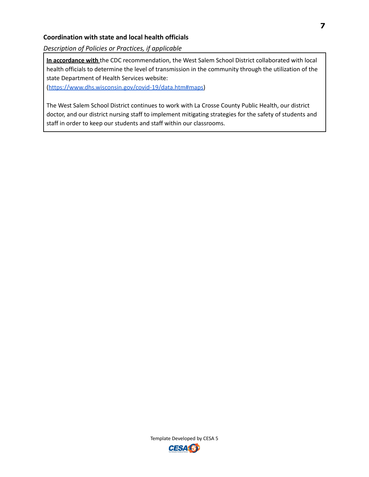#### <span id="page-8-0"></span>**Coordination with state and local health officials**

*Description of Policies or Practices, if applicable*

**In accordance with** the CDC recommendation, the West Salem School District collaborated with local health officials to determine the level of transmission in the community through the utilization of the state Department of Health Services website:

([https://www.dhs.wisconsin.gov/covid-19/data.htm#maps\)](https://www.dhs.wisconsin.gov/covid-19/data.htm#maps)

The West Salem School District continues to work with La Crosse County Public Health, our district doctor, and our district nursing staff to implement mitigating strategies for the safety of students and staff in order to keep our students and staff within our classrooms.

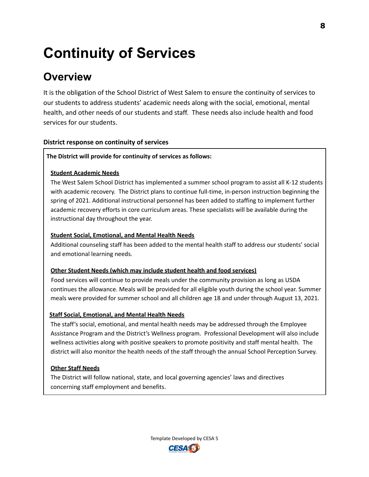# <span id="page-9-0"></span>**Continuity of Services**

## <span id="page-9-1"></span>**Overview**

It is the obligation of the School District of West Salem to ensure the continuity of services to our students to address students' academic needs along with the social, emotional, mental health, and other needs of our students and staff. These needs also include health and food services for our students.

## <span id="page-9-2"></span>**District response on continuity of services**

## **The District will provide for continuity of services as follows:**

#### **Student Academic Needs**

The West Salem School District has implemented a summer school program to assist all K-12 students with academic recovery. The District plans to continue full-time, in-person instruction beginning the spring of 2021. Additional instructional personnel has been added to staffing to implement further academic recovery efforts in core curriculum areas. These specialists will be available during the instructional day throughout the year.

## **Student Social, Emotional, and Mental Health Needs**

Additional counseling staff has been added to the mental health staff to address our students' social and emotional learning needs.

#### **Other Student Needs (which may include student health and food services)**

Food services will continue to provide meals under the community provision as long as USDA continues the allowance. Meals will be provided for all eligible youth during the school year. Summer meals were provided for summer school and all children age 18 and under through August 13, 2021.

## **Staff Social, Emotional, and Mental Health Needs**

The staff's social, emotional, and mental health needs may be addressed through the Employee Assistance Program and the District's Wellness program. Professional Development will also include wellness activities along with positive speakers to promote positivity and staff mental health. The district will also monitor the health needs of the staff through the annual School Perception Survey.

## **Other Staff Needs**

The District will follow national, state, and local governing agencies' laws and directives concerning staff employment and benefits.

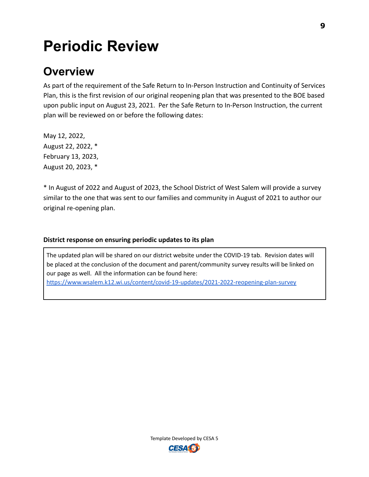# <span id="page-10-0"></span>**Periodic Review**

## <span id="page-10-1"></span>**Overview**

As part of the requirement of the Safe Return to In-Person Instruction and Continuity of Services Plan, this is the first revision of our original reopening plan that was presented to the BOE based upon public input on August 23, 2021. Per the Safe Return to In-Person Instruction, the current plan will be reviewed on or before the following dates:

May 12, 2022, August 22, 2022, \* February 13, 2023, August 20, 2023, \*

\* In August of 2022 and August of 2023, the School District of West Salem will provide a survey similar to the one that was sent to our families and community in August of 2021 to author our original re-opening plan.

## <span id="page-10-2"></span>**District response on ensuring periodic updates to its plan**

The updated plan will be shared on our district website under the COVID-19 tab. Revision dates will be placed at the conclusion of the document and parent/community survey results will be linked on our page as well. All the information can be found here: <https://www.wsalem.k12.wi.us/content/covid-19-updates/2021-2022-reopening-plan-survey>